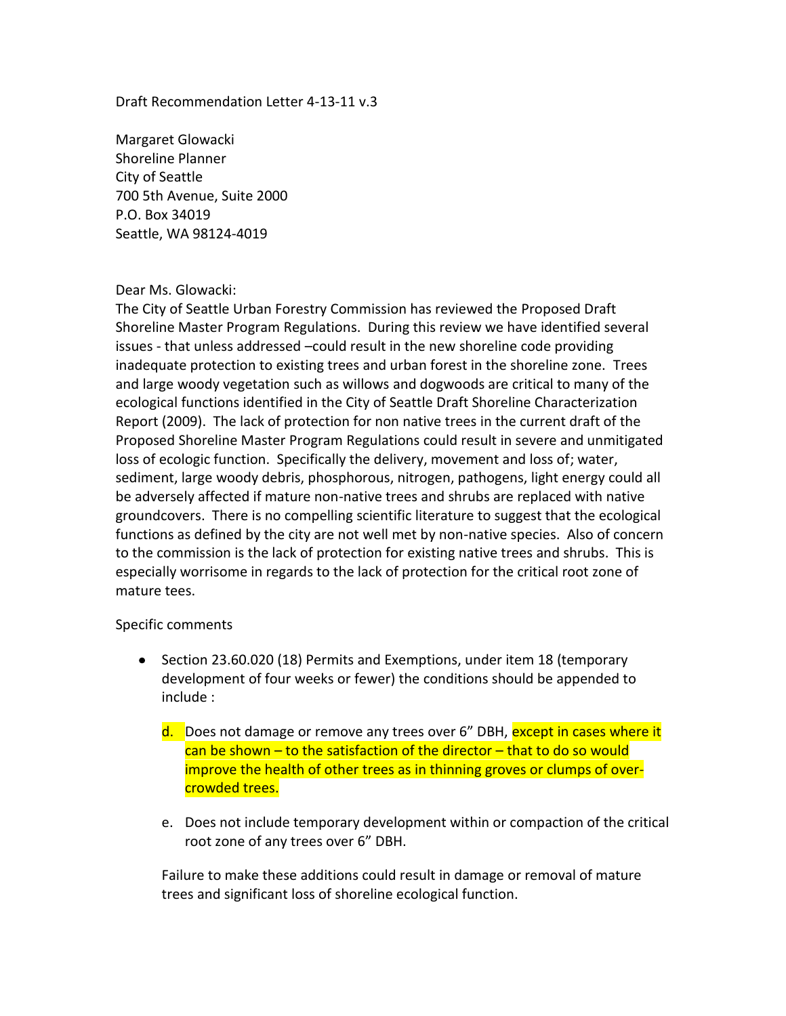## Draft Recommendation Letter 4-13-11 v.3

Margaret Glowacki Shoreline Planner City of Seattle 700 5th Avenue, Suite 2000 P.O. Box 34019 Seattle, WA 98124-4019

## Dear Ms. Glowacki:

The City of Seattle Urban Forestry Commission has reviewed the Proposed Draft Shoreline Master Program Regulations. During this review we have identified several issues - that unless addressed –could result in the new shoreline code providing inadequate protection to existing trees and urban forest in the shoreline zone. Trees and large woody vegetation such as willows and dogwoods are critical to many of the ecological functions identified in the City of Seattle Draft Shoreline Characterization Report (2009). The lack of protection for non native trees in the current draft of the Proposed Shoreline Master Program Regulations could result in severe and unmitigated loss of ecologic function. Specifically the delivery, movement and loss of; water, sediment, large woody debris, phosphorous, nitrogen, pathogens, light energy could all be adversely affected if mature non-native trees and shrubs are replaced with native groundcovers. There is no compelling scientific literature to suggest that the ecological functions as defined by the city are not well met by non-native species. Also of concern to the commission is the lack of protection for existing native trees and shrubs. This is especially worrisome in regards to the lack of protection for the critical root zone of mature tees.

## Specific comments

- Section 23.60.020 (18) Permits and Exemptions, under item 18 (temporary development of four weeks or fewer) the conditions should be appended to include :
	- d. Does not damage or remove any trees over 6" DBH, except in cases where it  $\cos$  can be shown – to the satisfaction of the director – that to do so would improve the health of other trees as in thinning groves or clumps of overcrowded trees.
	- e. Does not include temporary development within or compaction of the critical root zone of any trees over 6" DBH.

Failure to make these additions could result in damage or removal of mature trees and significant loss of shoreline ecological function.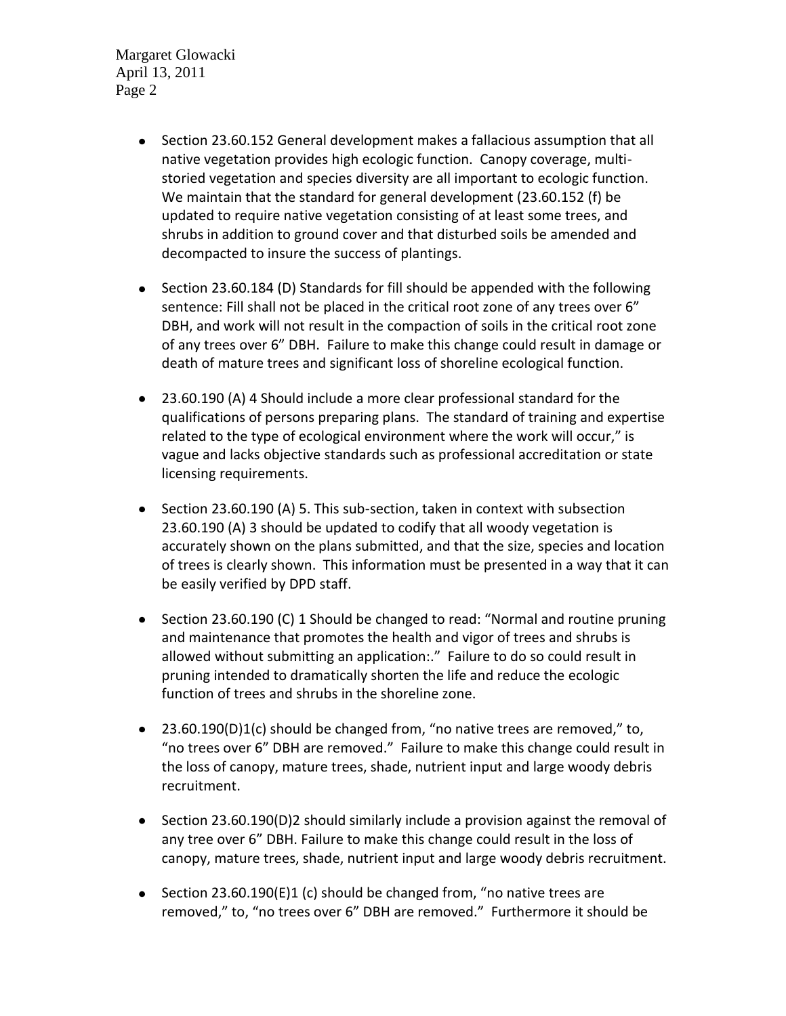Margaret Glowacki April 13, 2011 Page 2

- Section 23.60.152 General development makes a fallacious assumption that all native vegetation provides high ecologic function. Canopy coverage, multistoried vegetation and species diversity are all important to ecologic function. We maintain that the standard for general development (23.60.152 (f) be updated to require native vegetation consisting of at least some trees, and shrubs in addition to ground cover and that disturbed soils be amended and decompacted to insure the success of plantings.
- Section 23.60.184 (D) Standards for fill should be appended with the following sentence: Fill shall not be placed in the critical root zone of any trees over 6" DBH, and work will not result in the compaction of soils in the critical root zone of any trees over 6" DBH. Failure to make this change could result in damage or death of mature trees and significant loss of shoreline ecological function.
- 23.60.190 (A) 4 Should include a more clear professional standard for the qualifications of persons preparing plans. The standard of training and expertise related to the type of ecological environment where the work will occur," is vague and lacks objective standards such as professional accreditation or state licensing requirements.
- Section 23.60.190 (A) 5. This sub-section, taken in context with subsection 23.60.190 (A) 3 should be updated to codify that all woody vegetation is accurately shown on the plans submitted, and that the size, species and location of trees is clearly shown. This information must be presented in a way that it can be easily verified by DPD staff.
- Section 23.60.190 (C) 1 Should be changed to read: "Normal and routine pruning and maintenance that promotes the health and vigor of trees and shrubs is allowed without submitting an application:." Failure to do so could result in pruning intended to dramatically shorten the life and reduce the ecologic function of trees and shrubs in the shoreline zone.
- 23.60.190(D)1(c) should be changed from, "no native trees are removed," to, "no trees over 6" DBH are removed." Failure to make this change could result in the loss of canopy, mature trees, shade, nutrient input and large woody debris recruitment.
- Section 23.60.190(D)2 should similarly include a provision against the removal of any tree over 6" DBH. Failure to make this change could result in the loss of canopy, mature trees, shade, nutrient input and large woody debris recruitment.
- Section 23.60.190(E)1 (c) should be changed from, "no native trees are removed," to, "no trees over 6" DBH are removed." Furthermore it should be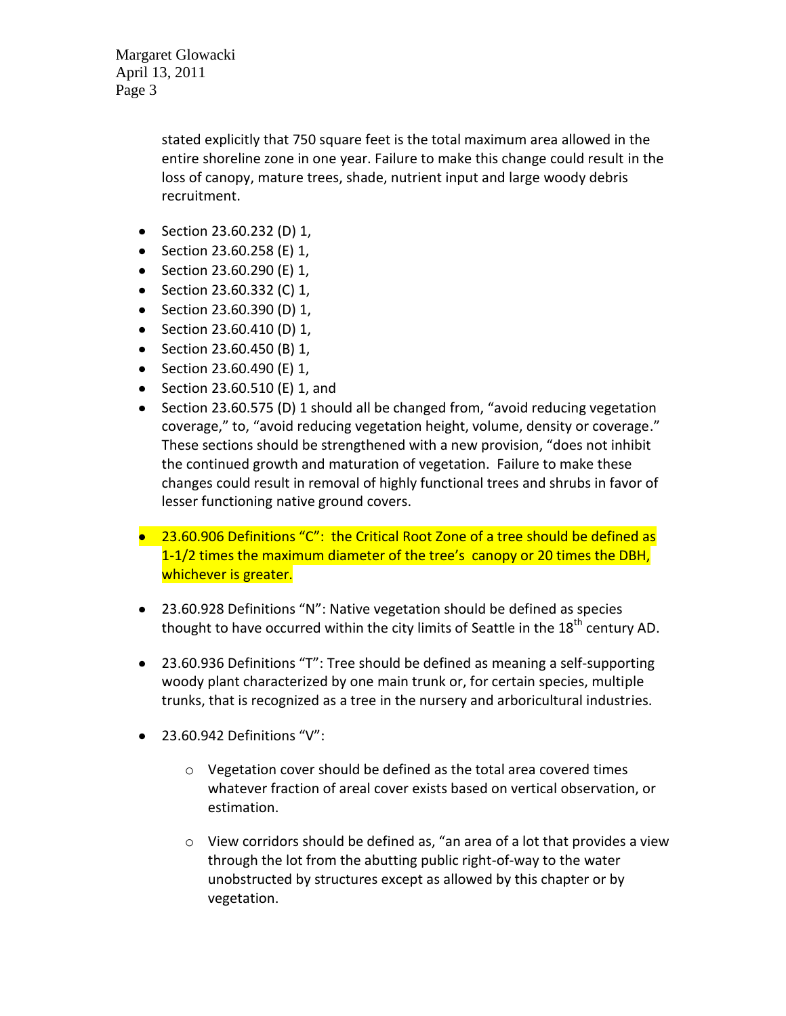Margaret Glowacki April 13, 2011 Page 3

> stated explicitly that 750 square feet is the total maximum area allowed in the entire shoreline zone in one year. Failure to make this change could result in the loss of canopy, mature trees, shade, nutrient input and large woody debris recruitment.

- Section 23.60.232 (D) 1,
- Section 23.60.258 (E) 1,
- Section 23.60.290 (E) 1,
- Section 23.60.332 (C) 1,
- Section 23.60.390 (D) 1,
- Section 23.60.410 (D) 1,
- Section 23.60.450 (B) 1,
- Section 23.60.490 (E)  $1$ ,
- Section 23.60.510 (E) 1, and
- Section 23.60.575 (D) 1 should all be changed from, "avoid reducing vegetation coverage," to, "avoid reducing vegetation height, volume, density or coverage." These sections should be strengthened with a new provision, "does not inhibit the continued growth and maturation of vegetation. Failure to make these changes could result in removal of highly functional trees and shrubs in favor of lesser functioning native ground covers.
- 23.60.906 Definitions "C": the Critical Root Zone of a tree should be defined as 1-1/2 times the maximum diameter of the tree's canopy or 20 times the DBH, whichever is greater.
- 23.60.928 Definitions "N": Native vegetation should be defined as species thought to have occurred within the city limits of Seattle in the  $18<sup>th</sup>$  century AD.
- 23.60.936 Definitions "T": Tree should be defined as meaning a self-supporting woody plant characterized by one main trunk or, for certain species, multiple trunks, that is recognized as a tree in the nursery and arboricultural industries.
- 23.60.942 Definitions "V":
	- o Vegetation cover should be defined as the total area covered times whatever fraction of areal cover exists based on vertical observation, or estimation.
	- o View corridors should be defined as, "an area of a lot that provides a view through the lot from the abutting public right-of-way to the water unobstructed by structures except as allowed by this chapter or by vegetation.